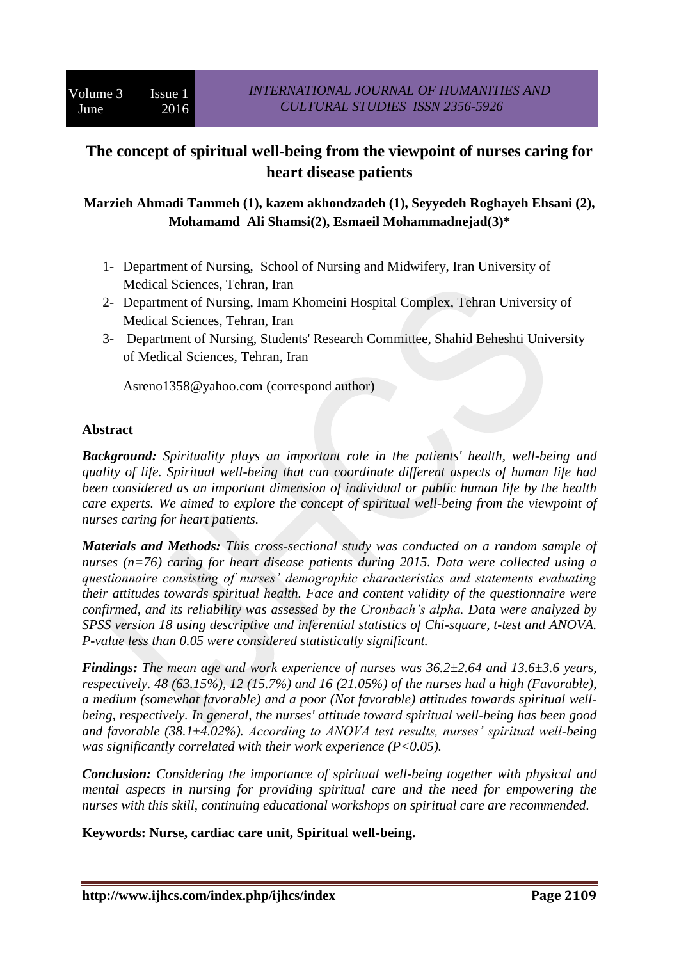# **The concept of spiritual well-being from the viewpoint of nurses caring for heart disease patients**

**Marzieh Ahmadi Tammeh (1), kazem akhondzadeh (1), Seyyedeh Roghayeh Ehsani (2), Mohamamd Ali Shamsi(2), Esmaeil Mohammadnejad(3)\***

- 1- Department of Nursing, School of Nursing and Midwifery, Iran University of Medical Sciences, Tehran, Iran
- 2- Department of Nursing, Imam Khomeini Hospital Complex, Tehran University of Medical Sciences, Tehran, Iran
- 3- Department of Nursing, Students' Research Committee, Shahid Beheshti University of Medical Sciences, Tehran, Iran

Asreno1358@yahoo.com (correspond author)

#### **Abstract**

*Background: Spirituality plays an important role in the patients' health, well-being and quality of life. Spiritual well-being that can coordinate different aspects of human life had been considered as an important dimension of individual or public human life by the health care experts. We aimed to explore the concept of spiritual well-being from the viewpoint of nurses caring for heart patients.*

*Materials and Methods: This cross-sectional study was conducted on a random sample of nurses (n=76) caring for heart disease patients during 2015. Data were collected using a questionnaire consisting of nurses' demographic characteristics and statements evaluating their attitudes towards spiritual health. Face and content validity of the questionnaire were confirmed, and its reliability was assessed by the Cronbach's alpha. Data were analyzed by SPSS version 18 using descriptive and inferential statistics of Chi-square, t-test and ANOVA. P-value less than 0.05 were considered statistically significant.*

*Findings: The mean age and work experience of nurses was 36.2±2.64 and 13.6±3.6 years, respectively. 48 (63.15%), 12 (15.7%) and 16 (21.05%) of the nurses had a high (Favorable), a medium (somewhat favorable) and a poor (Not favorable) attitudes towards spiritual wellbeing, respectively. In general, the nurses' attitude toward spiritual well-being has been good and favorable (38.1±4.02%). According to ANOVA test results, nurses' spiritual well-being was significantly correlated with their work experience (P<0.05).*

*Conclusion: Considering the importance of spiritual well-being together with physical and mental aspects in nursing for providing spiritual care and the need for empowering the nurses with this skill, continuing educational workshops on spiritual care are recommended.*

**Keywords: Nurse, cardiac care unit, Spiritual well-being.**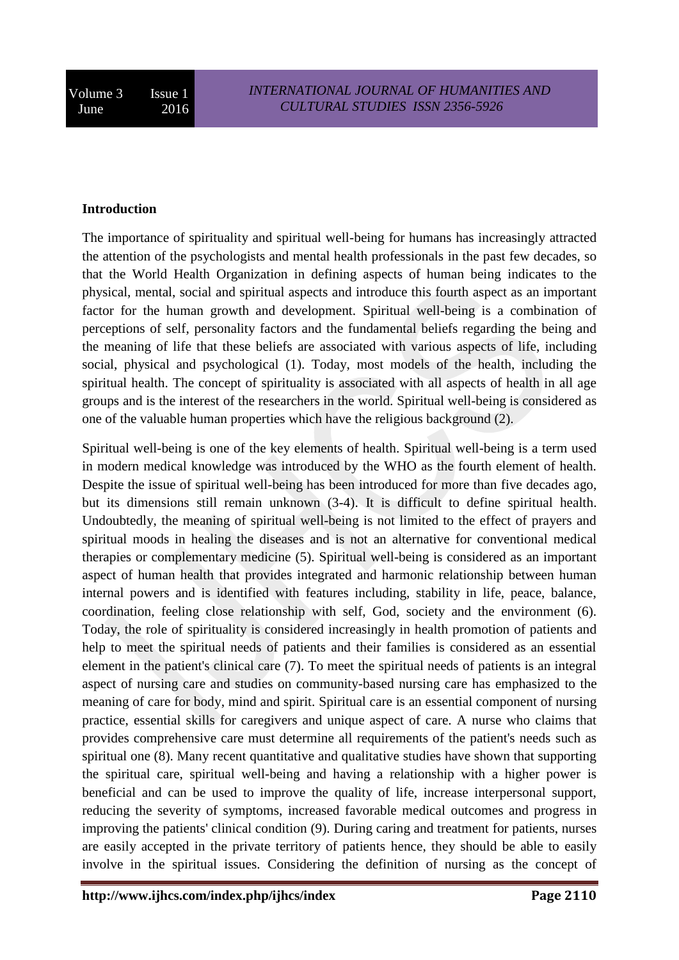#### **Introduction**

The importance of spirituality and spiritual well-being for humans has increasingly attracted the attention of the psychologists and mental health professionals in the past few decades, so that the World Health Organization in defining aspects of human being indicates to the physical, mental, social and spiritual aspects and introduce this fourth aspect as an important factor for the human growth and development. Spiritual well-being is a combination of perceptions of self, personality factors and the fundamental beliefs regarding the being and the meaning of life that these beliefs are associated with various aspects of life, including social, physical and psychological (1). Today, most models of the health, including the spiritual health. The concept of spirituality is associated with all aspects of health in all age groups and is the interest of the researchers in the world. Spiritual well-being is considered as one of the valuable human properties which have the religious background (2).

Spiritual well-being is one of the key elements of health. Spiritual well-being is a term used in modern medical knowledge was introduced by the WHO as the fourth element of health. Despite the issue of spiritual well-being has been introduced for more than five decades ago, but its dimensions still remain unknown (3-4). It is difficult to define spiritual health. Undoubtedly, the meaning of spiritual well-being is not limited to the effect of prayers and spiritual moods in healing the diseases and is not an alternative for conventional medical therapies or complementary medicine (5). Spiritual well-being is considered as an important aspect of human health that provides integrated and harmonic relationship between human internal powers and is identified with features including, stability in life, peace, balance, coordination, feeling close relationship with self, God, society and the environment (6). Today, the role of spirituality is considered increasingly in health promotion of patients and help to meet the spiritual needs of patients and their families is considered as an essential element in the patient's clinical care (7). To meet the spiritual needs of patients is an integral aspect of nursing care and studies on community-based nursing care has emphasized to the meaning of care for body, mind and spirit. Spiritual care is an essential component of nursing practice, essential skills for caregivers and unique aspect of care. A nurse who claims that provides comprehensive care must determine all requirements of the patient's needs such as spiritual one (8). Many recent quantitative and qualitative studies have shown that supporting the spiritual care, spiritual well-being and having a relationship with a higher power is beneficial and can be used to improve the quality of life, increase interpersonal support, reducing the severity of symptoms, increased favorable medical outcomes and progress in improving the patients' clinical condition (9). During caring and treatment for patients, nurses are easily accepted in the private territory of patients hence, they should be able to easily involve in the spiritual issues. Considering the definition of nursing as the concept of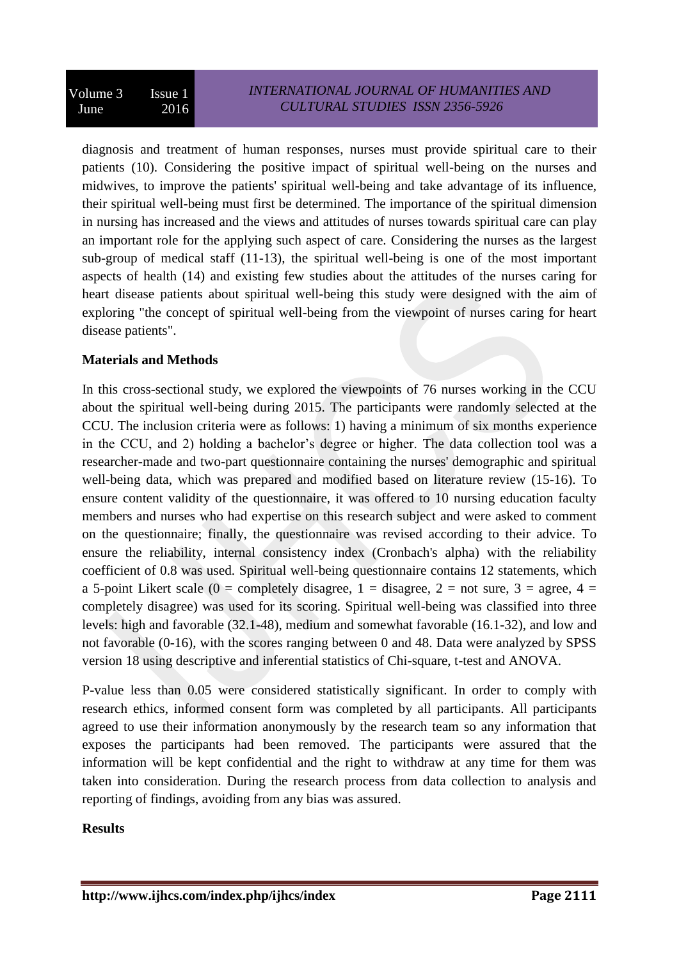diagnosis and treatment of human responses, nurses must provide spiritual care to their patients (10). Considering the positive impact of spiritual well-being on the nurses and midwives, to improve the patients' spiritual well-being and take advantage of its influence, their spiritual well-being must first be determined. The importance of the spiritual dimension in nursing has increased and the views and attitudes of nurses towards spiritual care can play an important role for the applying such aspect of care. Considering the nurses as the largest sub-group of medical staff (11-13), the spiritual well-being is one of the most important aspects of health (14) and existing few studies about the attitudes of the nurses caring for heart disease patients about spiritual well-being this study were designed with the aim of exploring "the concept of spiritual well-being from the viewpoint of nurses caring for heart disease patients".

## **Materials and Methods**

In this cross-sectional study, we explored the viewpoints of 76 nurses working in the CCU about the spiritual well-being during 2015. The participants were randomly selected at the CCU. The inclusion criteria were as follows: 1) having a minimum of six months experience in the CCU, and 2) holding a bachelor's degree or higher. The data collection tool was a researcher-made and two-part questionnaire containing the nurses' demographic and spiritual well-being data, which was prepared and modified based on literature review (15-16). To ensure content validity of the questionnaire, it was offered to 10 nursing education faculty members and nurses who had expertise on this research subject and were asked to comment on the questionnaire; finally, the questionnaire was revised according to their advice. To ensure the reliability, internal consistency index (Cronbach's alpha) with the reliability coefficient of 0.8 was used. Spiritual well-being questionnaire contains 12 statements, which a 5-point Likert scale (0 = completely disagree,  $1 =$  disagree,  $2 =$  not sure,  $3 =$  agree,  $4 =$ completely disagree) was used for its scoring. Spiritual well-being was classified into three levels: high and favorable (32.1-48), medium and somewhat favorable (16.1-32), and low and not favorable (0-16), with the scores ranging between 0 and 48. Data were analyzed by SPSS version 18 using descriptive and inferential statistics of Chi-square, t-test and ANOVA.

P-value less than 0.05 were considered statistically significant. In order to comply with research ethics, informed consent form was completed by all participants. All participants agreed to use their information anonymously by the research team so any information that exposes the participants had been removed. The participants were assured that the information will be kept confidential and the right to withdraw at any time for them was taken into consideration. During the research process from data collection to analysis and reporting of findings, avoiding from any bias was assured.

#### **Results**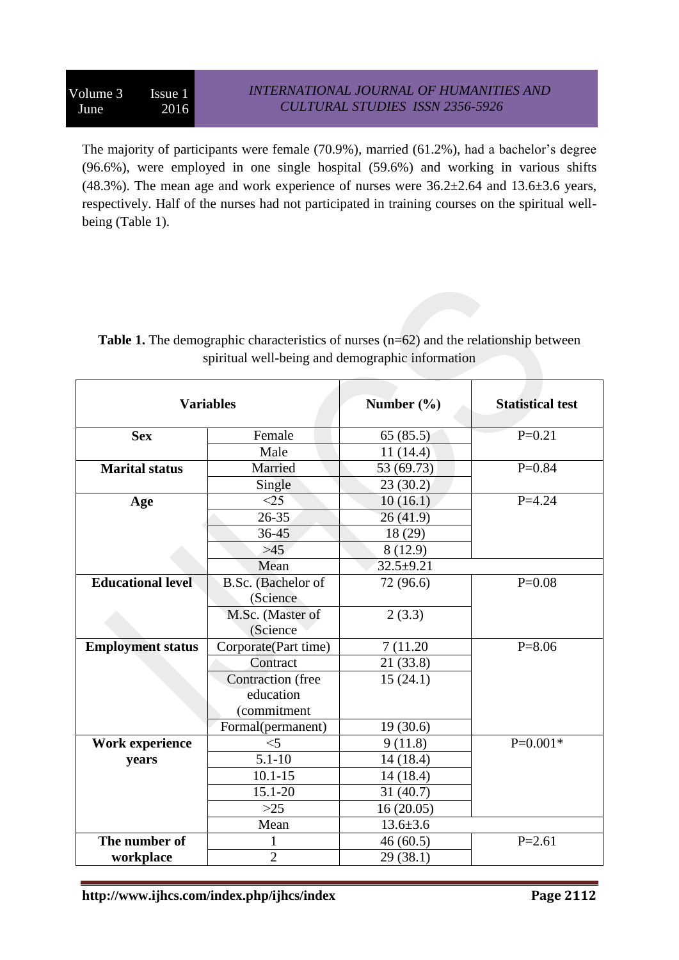The majority of participants were female (70.9%), married (61.2%), had a bachelor's degree (96.6%), were employed in one single hospital (59.6%) and working in various shifts (48.3%). The mean age and work experience of nurses were  $36.2 \pm 2.64$  and  $13.6 \pm 3.6$  years, respectively. Half of the nurses had not participated in training courses on the spiritual wellbeing (Table 1).

| <b>Variables</b>         |                          | Number $(\% )$ | <b>Statistical test</b> |
|--------------------------|--------------------------|----------------|-------------------------|
| <b>Sex</b>               | Female                   | 65(85.5)       | $P=0.21$                |
|                          | Male                     | 11(14.4)       |                         |
| <b>Marital status</b>    | Married                  | 53 (69.73)     | $P=0.84$                |
|                          | Single                   | 23(30.2)       |                         |
| Age                      | <25                      | 10(16.1)       | $P = 4.24$              |
|                          | $26 - 35$                | 26(41.9)       |                         |
|                          | $36 - 45$                | 18 (29)        |                         |
|                          | $>45$                    | 8 (12.9)       |                         |
|                          | Mean                     | $32.5 + 9.21$  |                         |
| <b>Educational level</b> | B.Sc. (Bachelor of       | 72 (96.6)      | $P=0.08$                |
|                          | (Science                 |                |                         |
|                          | M.Sc. (Master of         | 2(3.3)         |                         |
|                          | (Science                 |                |                         |
| <b>Employment status</b> | Corporate(Part time)     | 7 (11.20)      | $P = 8.06$              |
|                          | Contract                 | 21(33.8)       |                         |
|                          | <b>Contraction</b> (free | 15(24.1)       |                         |
|                          | education                |                |                         |
|                          | (commitment              |                |                         |
|                          | Formal(permanent)        | 19(30.6)       |                         |
| Work experience          | $<$ 5                    | 9(11.8)        | $P=0.001*$              |
| years                    | $5.1 - 10$               | 14(18.4)       |                         |
|                          | $10.1 - 15$              | 14 (18.4)      |                         |
|                          | 15.1-20                  | 31(40.7)       |                         |
|                          | $>25$                    | 16(20.05)      |                         |
|                          | Mean                     | $13.6 \pm 3.6$ |                         |
| The number of            | 1                        | 46(60.5)       | $P = 2.61$              |
| workplace                | $\overline{2}$           | 29 (38.1)      |                         |

**Table 1.** The demographic characteristics of nurses (n=62) and the relationship between spiritual well-being and demographic information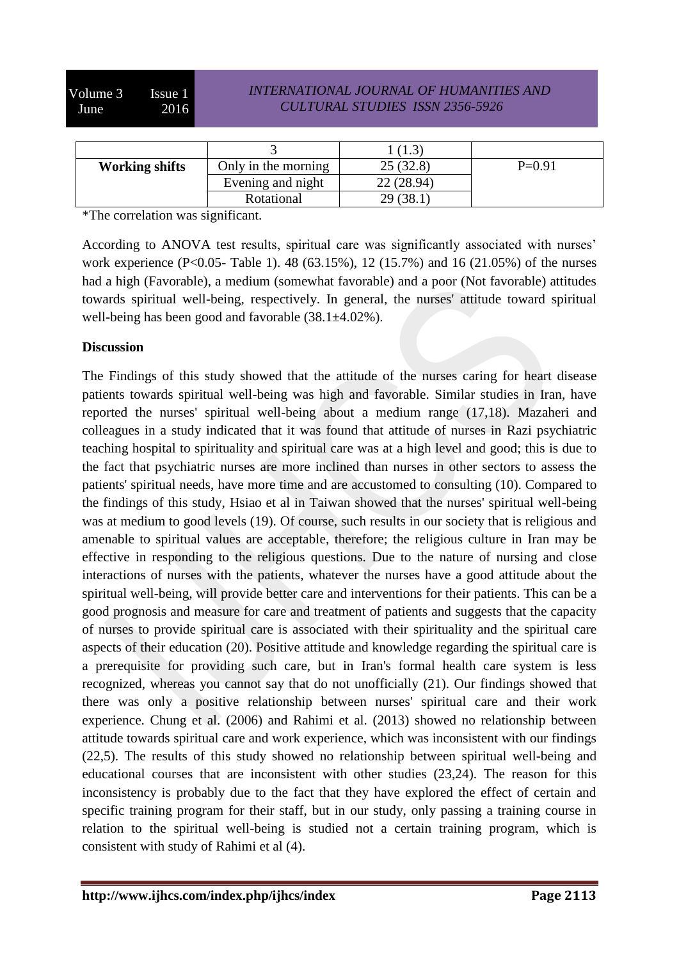## *INTERNATIONAL JOURNAL OF HUMANITIES AND CULTURAL STUDIES ISSN 2356-5926*

| <b>Working shifts</b> | Only in the morning | 25(32.8)  | $P=0.91$ |
|-----------------------|---------------------|-----------|----------|
|                       | Evening and night   | 22(28.94) |          |
|                       | Rotational          | 29 (38.1  |          |

\*The correlation was significant.

According to ANOVA test results, spiritual care was significantly associated with nurses' work experience (P<0.05- Table 1). 48 (63.15%), 12 (15.7%) and 16 (21.05%) of the nurses had a high (Favorable), a medium (somewhat favorable) and a poor (Not favorable) attitudes towards spiritual well-being, respectively. In general, the nurses' attitude toward spiritual well-being has been good and favorable (38.1±4.02%).

## **Discussion**

The Findings of this study showed that the attitude of the nurses caring for heart disease patients towards spiritual well-being was high and favorable. Similar studies in Iran, have reported the nurses' spiritual well-being about a medium range (17,18). Mazaheri and colleagues in a study indicated that it was found that attitude of nurses in Razi psychiatric teaching hospital to spirituality and spiritual care was at a high level and good; this is due to the fact that psychiatric nurses are more inclined than nurses in other sectors to assess the patients' spiritual needs, have more time and are accustomed to consulting (10). Compared to the findings of this study, Hsiao et al in Taiwan showed that the nurses' spiritual well-being was at medium to good levels (19). Of course, such results in our society that is religious and amenable to spiritual values are acceptable, therefore; the religious culture in Iran may be effective in responding to the religious questions. Due to the nature of nursing and close interactions of nurses with the patients, whatever the nurses have a good attitude about the spiritual well-being, will provide better care and interventions for their patients. This can be a good prognosis and measure for care and treatment of patients and suggests that the capacity of nurses to provide spiritual care is associated with their spirituality and the spiritual care aspects of their education (20). Positive attitude and knowledge regarding the spiritual care is a prerequisite for providing such care, but in Iran's formal health care system is less recognized, whereas you cannot say that do not unofficially (21). Our findings showed that there was only a positive relationship between nurses' spiritual care and their work experience. Chung et al. (2006) and Rahimi et al. (2013) showed no relationship between attitude towards spiritual care and work experience, which was inconsistent with our findings (22,5). The results of this study showed no relationship between spiritual well-being and educational courses that are inconsistent with other studies (23,24). The reason for this inconsistency is probably due to the fact that they have explored the effect of certain and specific training program for their staff, but in our study, only passing a training course in relation to the spiritual well-being is studied not a certain training program, which is consistent with study of Rahimi et al (4).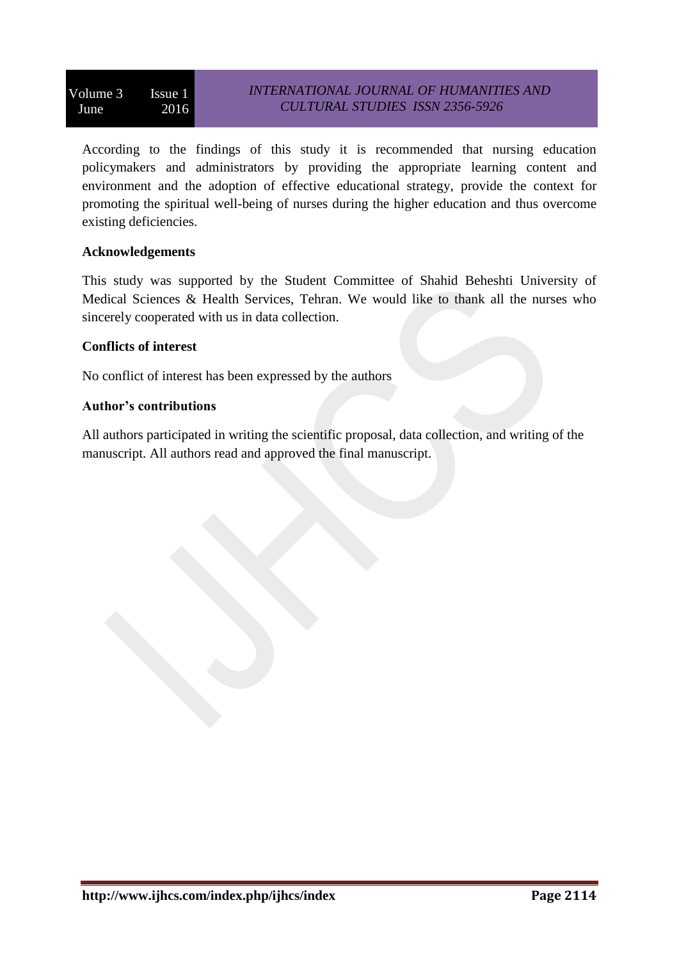According to the findings of this study it is recommended that nursing education policymakers and administrators by providing the appropriate learning content and environment and the adoption of effective educational strategy, provide the context for promoting the spiritual well-being of nurses during the higher education and thus overcome existing deficiencies.

## **Acknowledgements**

This study was supported by the Student Committee of Shahid Beheshti University of Medical Sciences & Health Services, Tehran. We would like to thank all the nurses who sincerely cooperated with us in data collection.

#### **Conflicts of interest**

No conflict of interest has been expressed by the authors

## **Author's contributions**

All authors participated in writing the scientific proposal, data collection, and writing of the manuscript. All authors read and approved the final manuscript.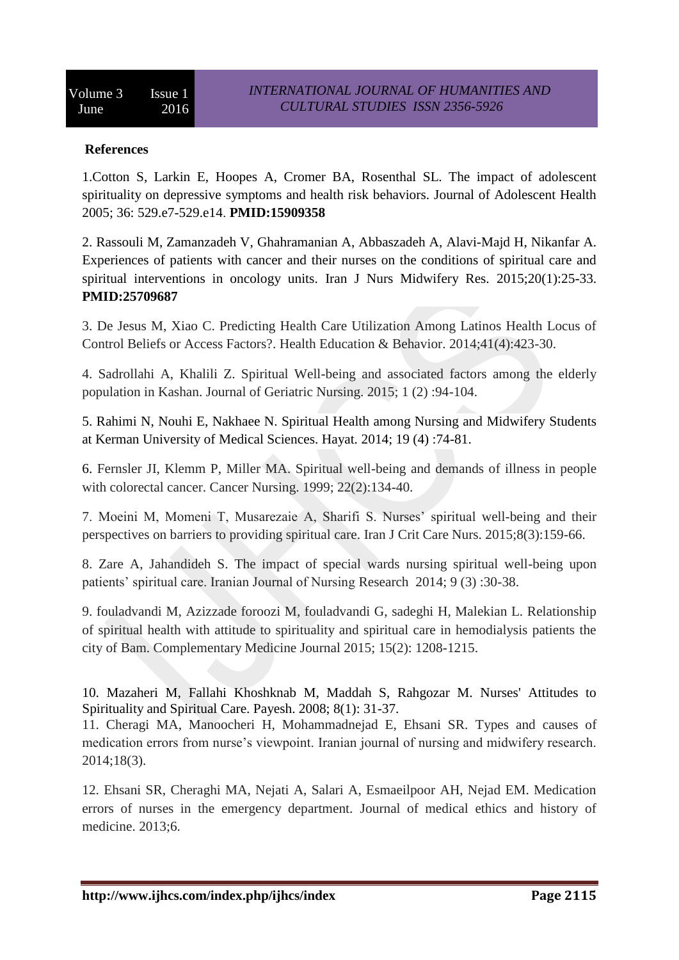### **References**

1.Cotton S, Larkin E, Hoopes A, Cromer BA, Rosenthal SL. The impact of adolescent spirituality on depressive symptoms and health risk behaviors. Journal of Adolescent Health 2005; 36: 529.e7-529.e14. **PMID:15909358**

2. [Rassouli M,](http://www.ncbi.nlm.nih.gov/pubmed/?term=Rassouli%20M%5BAuthor%5D&cauthor=true&cauthor_uid=25709687) [Zamanzadeh V,](http://www.ncbi.nlm.nih.gov/pubmed/?term=Zamanzadeh%20V%5BAuthor%5D&cauthor=true&cauthor_uid=25709687) [Ghahramanian A,](http://www.ncbi.nlm.nih.gov/pubmed/?term=Ghahramanian%20A%5BAuthor%5D&cauthor=true&cauthor_uid=25709687) [Abbaszadeh A,](http://www.ncbi.nlm.nih.gov/pubmed/?term=Abbaszadeh%20A%5BAuthor%5D&cauthor=true&cauthor_uid=25709687) [Alavi-Majd H,](http://www.ncbi.nlm.nih.gov/pubmed/?term=Alavi-Majd%20H%5BAuthor%5D&cauthor=true&cauthor_uid=25709687) [Nikanfar A.](http://www.ncbi.nlm.nih.gov/pubmed/?term=Nikanfar%20A%5BAuthor%5D&cauthor=true&cauthor_uid=25709687) Experiences of patients with cancer and their nurses on the conditions of spiritual care and spiritual interventions in oncology units. [Iran J Nurs Midwifery Res.](http://www.ncbi.nlm.nih.gov/pubmed/25709687/) 2015;20(1):25-33. **PMID:25709687**

3. De Jesus M, Xiao C. Predicting Health Care Utilization Among Latinos Health Locus of Control Beliefs or Access Factors?. Health Education & Behavior. 2014;41(4):423-30.

4. Sadrollahi A, Khalili Z. Spiritual Well-being and associated factors among the elderly population in Kashan. Journal of Geriatric Nursing. 2015; 1 (2) :94-104.

5. Rahimi N, Nouhi E, Nakhaee N. Spiritual Health among Nursing and Midwifery Students at Kerman University of Medical Sciences. Hayat. 2014; 19 (4) :74-81.

6. Fernsler JI, Klemm P, Miller MA. Spiritual well-being and demands of illness in people with colorectal cancer. Cancer Nursing. 1999; 22(2):134-40.

7. Moeini M, Momeni T, Musarezaie A, Sharifi S. Nurses' spiritual well-being and their perspectives on barriers to providing spiritual care. Iran J Crit Care Nurs. 2015;8(3):159-66.

8. Zare A, Jahandideh S. The impact of special wards nursing spiritual well-being upon patients' spiritual care. Iranian Journal of Nursing Research 2014; 9 (3) :30-38.

9. fouladvandi M, Azizzade foroozi M, fouladvandi G, sadeghi H, Malekian L. Relationship of spiritual health with attitude to spirituality and spiritual care in hemodialysis patients the city of Bam. Complementary Medicine Journal 2015; 15(2): 1208-1215.

10. Mazaheri M, Fallahi Khoshknab M, Maddah S, Rahgozar M. Nurses' Attitudes to Spirituality and Spiritual Care. Payesh. 2008; 8(1): 31-37.

11. Cheragi MA, Manoocheri H, Mohammadnejad E, Ehsani SR. Types and causes of medication errors from nurse's viewpoint. Iranian journal of nursing and midwifery research. 2014;18(3).

12. Ehsani SR, Cheraghi MA, Nejati A, Salari A, Esmaeilpoor AH, Nejad EM. Medication errors of nurses in the emergency department. Journal of medical ethics and history of medicine. 2013;6.